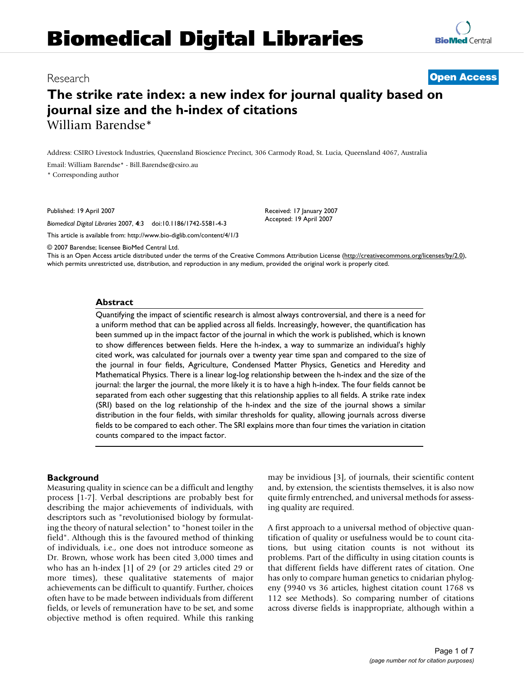# **Biomedical Digital Libraries**

## Research **Open Access**

**BioMed** Central

# **The strike rate index: a new index for journal quality based on journal size and the h-index of citations** William Barendse\*

Address: CSIRO Livestock Industries, Queensland Bioscience Precinct, 306 Carmody Road, St. Lucia, Queensland 4067, Australia

Email: William Barendse\* - Bill.Barendse@csiro.au

\* Corresponding author

Published: 19 April 2007

*Biomedical Digital Libraries* 2007, **4**:3 doi:10.1186/1742-5581-4-3

This article is available from: http://www.bio-diglib.com/content/4/1/3

© 2007 Barendse; licensee BioMed Central Ltd.

This is an Open Access article distributed under the terms of the Creative Commons Attribution License (http://creativecommons.org/licenses/by/2.0), which permits unrestricted use, distribution, and reproduction in any medium, provided the original work is properly cited.

Received: 17 January 2007 Accepted: 19 April 2007

#### **Abstract**

Quantifying the impact of scientific research is almost always controversial, and there is a need for a uniform method that can be applied across all fields. Increasingly, however, the quantification has been summed up in the impact factor of the journal in which the work is published, which is known to show differences between fields. Here the h-index, a way to summarize an individual's highly cited work, was calculated for journals over a twenty year time span and compared to the size of the journal in four fields, Agriculture, Condensed Matter Physics, Genetics and Heredity and Mathematical Physics. There is a linear log-log relationship between the h-index and the size of the journal: the larger the journal, the more likely it is to have a high h-index. The four fields cannot be separated from each other suggesting that this relationship applies to all fields. A strike rate index (SRI) based on the log relationship of the h-index and the size of the journal shows a similar distribution in the four fields, with similar thresholds for quality, allowing journals across diverse fields to be compared to each other. The SRI explains more than four times the variation in citation counts compared to the impact factor.

#### **Background**

Measuring quality in science can be a difficult and lengthy process [1-7]. Verbal descriptions are probably best for describing the major achievements of individuals, with descriptors such as "revolutionised biology by formulating the theory of natural selection" to "honest toiler in the field". Although this is the favoured method of thinking of individuals, i.e., one does not introduce someone as Dr. Brown, whose work has been cited 3,000 times and who has an h-index [1] of 29 (or 29 articles cited 29 or more times), these qualitative statements of major achievements can be difficult to quantify. Further, choices often have to be made between individuals from different fields, or levels of remuneration have to be set, and some objective method is often required. While this ranking may be invidious [3], of journals, their scientific content and, by extension, the scientists themselves, it is also now quite firmly entrenched, and universal methods for assessing quality are required.

A first approach to a universal method of objective quantification of quality or usefulness would be to count citations, but using citation counts is not without its problems. Part of the difficulty in using citation counts is that different fields have different rates of citation. One has only to compare human genetics to cnidarian phylogeny (9940 vs 36 articles, highest citation count 1768 vs 112 see Methods). So comparing number of citations across diverse fields is inappropriate, although within a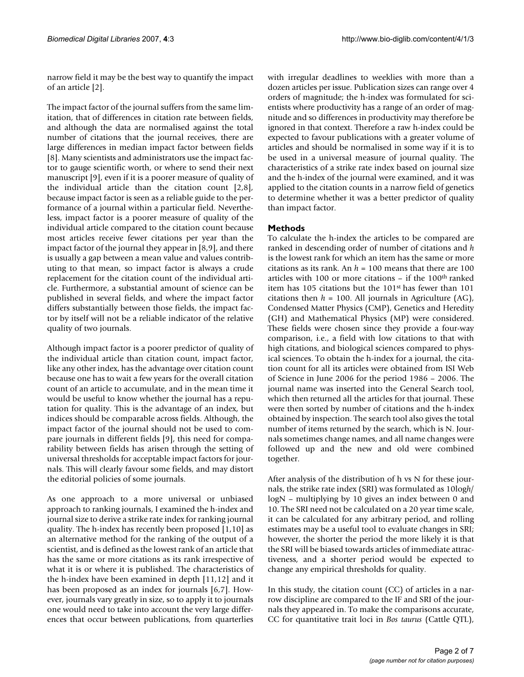narrow field it may be the best way to quantify the impact of an article [2].

The impact factor of the journal suffers from the same limitation, that of differences in citation rate between fields, and although the data are normalised against the total number of citations that the journal receives, there are large differences in median impact factor between fields [8]. Many scientists and administrators use the impact factor to gauge scientific worth, or where to send their next manuscript [9], even if it is a poorer measure of quality of the individual article than the citation count [2,8], because impact factor is seen as a reliable guide to the performance of a journal within a particular field. Nevertheless, impact factor is a poorer measure of quality of the individual article compared to the citation count because most articles receive fewer citations per year than the impact factor of the journal they appear in [8,9], and there is usually a gap between a mean value and values contributing to that mean, so impact factor is always a crude replacement for the citation count of the individual article. Furthermore, a substantial amount of science can be published in several fields, and where the impact factor differs substantially between those fields, the impact factor by itself will not be a reliable indicator of the relative quality of two journals.

Although impact factor is a poorer predictor of quality of the individual article than citation count, impact factor, like any other index, has the advantage over citation count because one has to wait a few years for the overall citation count of an article to accumulate, and in the mean time it would be useful to know whether the journal has a reputation for quality. This is the advantage of an index, but indices should be comparable across fields. Although, the impact factor of the journal should not be used to compare journals in different fields [9], this need for comparability between fields has arisen through the setting of universal thresholds for acceptable impact factors for journals. This will clearly favour some fields, and may distort the editorial policies of some journals.

As one approach to a more universal or unbiased approach to ranking journals, I examined the h-index and journal size to derive a strike rate index for ranking journal quality. The h-index has recently been proposed [1,10] as an alternative method for the ranking of the output of a scientist, and is defined as the lowest rank of an article that has the same or more citations as its rank irrespective of what it is or where it is published. The characteristics of the h-index have been examined in depth [11,12] and it has been proposed as an index for journals [6,7]. However, journals vary greatly in size, so to apply it to journals one would need to take into account the very large differences that occur between publications, from quarterlies

with irregular deadlines to weeklies with more than a dozen articles per issue. Publication sizes can range over 4 orders of magnitude; the h-index was formulated for scientists where productivity has a range of an order of magnitude and so differences in productivity may therefore be ignored in that context. Therefore a raw h-index could be expected to favour publications with a greater volume of articles and should be normalised in some way if it is to be used in a universal measure of journal quality. The characteristics of a strike rate index based on journal size and the h-index of the journal were examined, and it was applied to the citation counts in a narrow field of genetics to determine whether it was a better predictor of quality than impact factor.

### **Methods**

To calculate the h-index the articles to be compared are ranked in descending order of number of citations and *h* is the lowest rank for which an item has the same or more citations as its rank. An  $h = 100$  means that there are 100 articles with 100 or more citations – if the 100th ranked item has 105 citations but the 101st has fewer than 101 citations then  $h = 100$ . All journals in Agriculture (AG), Condensed Matter Physics (CMP), Genetics and Heredity (GH) and Mathematical Physics (MP) were considered. These fields were chosen since they provide a four-way comparison, i.e., a field with low citations to that with high citations, and biological sciences compared to physical sciences. To obtain the h-index for a journal, the citation count for all its articles were obtained from ISI Web of Science in June 2006 for the period 1986 – 2006. The journal name was inserted into the General Search tool, which then returned all the articles for that journal. These were then sorted by number of citations and the h-index obtained by inspection. The search tool also gives the total number of items returned by the search, which is N. Journals sometimes change names, and all name changes were followed up and the new and old were combined together.

After analysis of the distribution of h vs N for these journals, the strike rate index (SRI) was formulated as 10log*h*/ logN – multiplying by 10 gives an index between 0 and 10. The SRI need not be calculated on a 20 year time scale, it can be calculated for any arbitrary period, and rolling estimates may be a useful tool to evaluate changes in SRI; however, the shorter the period the more likely it is that the SRI will be biased towards articles of immediate attractiveness, and a shorter period would be expected to change any empirical thresholds for quality.

In this study, the citation count (CC) of articles in a narrow discipline are compared to the IF and SRI of the journals they appeared in. To make the comparisons accurate, CC for quantitative trait loci in *Bos taurus* (Cattle QTL),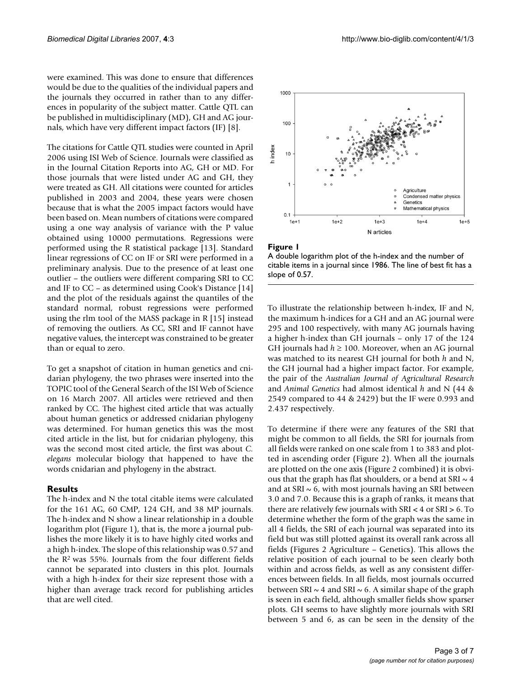were examined. This was done to ensure that differences would be due to the qualities of the individual papers and the journals they occurred in rather than to any differences in popularity of the subject matter. Cattle QTL can be published in multidisciplinary (MD), GH and AG journals, which have very different impact factors (IF) [8].

The citations for Cattle QTL studies were counted in April 2006 using ISI Web of Science. Journals were classified as in the Journal Citation Reports into AG, GH or MD. For those journals that were listed under AG and GH, they were treated as GH. All citations were counted for articles published in 2003 and 2004, these years were chosen because that is what the 2005 impact factors would have been based on. Mean numbers of citations were compared using a one way analysis of variance with the P value obtained using 10000 permutations. Regressions were performed using the R statistical package [13]. Standard linear regressions of CC on IF or SRI were performed in a preliminary analysis. Due to the presence of at least one outlier – the outliers were different comparing SRI to CC and IF to CC – as determined using Cook's Distance [14] and the plot of the residuals against the quantiles of the standard normal, robust regressions were performed using the rlm tool of the MASS package in R [15] instead of removing the outliers. As CC, SRI and IF cannot have negative values, the intercept was constrained to be greater than or equal to zero.

To get a snapshot of citation in human genetics and cnidarian phylogeny, the two phrases were inserted into the TOPIC tool of the General Search of the ISI Web of Science on 16 March 2007. All articles were retrieved and then ranked by CC. The highest cited article that was actually about human genetics or addressed cnidarian phylogeny was determined. For human genetics this was the most cited article in the list, but for cnidarian phylogeny, this was the second most cited article, the first was about *C. elegans* molecular biology that happened to have the words cnidarian and phylogeny in the abstract.

#### **Results**

The h-index and N the total citable items were calculated for the 161 AG, 60 CMP, 124 GH, and 38 MP journals. The h-index and N show a linear relationship in a double logarithm plot (Figure 1), that is, the more a journal publishes the more likely it is to have highly cited works and a high h-index. The slope of this relationship was 0.57 and the R2 was 55%. Journals from the four different fields cannot be separated into clusters in this plot. Journals with a high h-index for their size represent those with a higher than average track record for publishing articles that are well cited.



#### Figure 1



To illustrate the relationship between h-index, IF and N, the maximum h-indices for a GH and an AG journal were 295 and 100 respectively, with many AG journals having a higher h-index than GH journals – only 17 of the 124 GH journals had  $h \ge 100$ . Moreover, when an AG journal was matched to its nearest GH journal for both *h* and N, the GH journal had a higher impact factor. For example, the pair of the *Australian Journal of Agricultural Research* and *Animal Genetics* had almost identical *h* and N (44 & 2549 compared to 44 & 2429) but the IF were 0.993 and 2.437 respectively.

To determine if there were any features of the SRI that might be common to all fields, the SRI for journals from all fields were ranked on one scale from 1 to 383 and plotted in ascending order (Figure 2). When all the journals are plotted on the one axis (Figure 2 combined) it is obvious that the graph has flat shoulders, or a bend at SRI  $\sim$  4 and at SRI  $\sim$  6, with most journals having an SRI between 3.0 and 7.0. Because this is a graph of ranks, it means that there are relatively few journals with SRI < 4 or SRI > 6. To determine whether the form of the graph was the same in all 4 fields, the SRI of each journal was separated into its field but was still plotted against its overall rank across all fields (Figures 2 Agriculture – Genetics). This allows the relative position of each journal to be seen clearly both within and across fields, as well as any consistent differences between fields. In all fields, most journals occurred between SRI  $\sim$  4 and SRI  $\sim$  6. A similar shape of the graph is seen in each field, although smaller fields show sparser plots. GH seems to have slightly more journals with SRI between 5 and 6, as can be seen in the density of the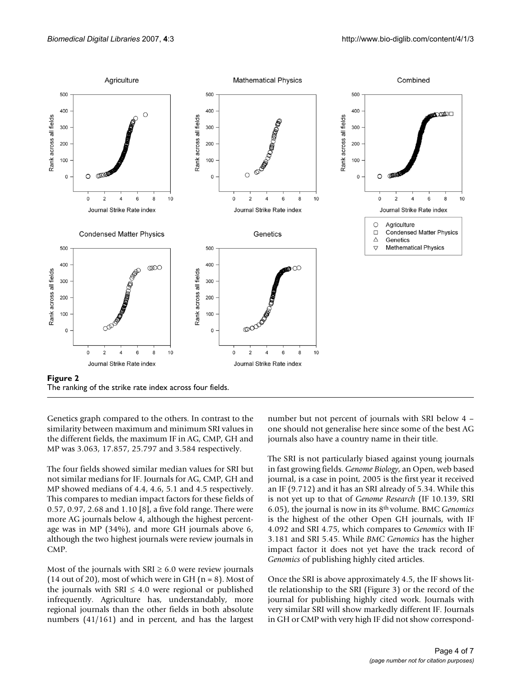

Genetics graph compared to the others. In contrast to the similarity between maximum and minimum SRI values in the different fields, the maximum IF in AG, CMP, GH and MP was 3.063, 17.857, 25.797 and 3.584 respectively.

The four fields showed similar median values for SRI but not similar medians for IF. Journals for AG, CMP, GH and MP showed medians of 4.4, 4.6, 5.1 and 4.5 respectively. This compares to median impact factors for these fields of 0.57, 0.97, 2.68 and 1.10 [8], a five fold range. There were more AG journals below 4, although the highest percentage was in MP (34%), and more GH journals above 6, although the two highest journals were review journals in CMP.

Most of the journals with  $SRI \geq 6.0$  were review journals (14 out of 20), most of which were in GH ( $n = 8$ ). Most of the journals with SRI  $\leq$  4.0 were regional or published infrequently. Agriculture has, understandably, more regional journals than the other fields in both absolute numbers (41/161) and in percent, and has the largest

number but not percent of journals with SRI below 4 – one should not generalise here since some of the best AG journals also have a country name in their title.

The SRI is not particularly biased against young journals in fast growing fields. *Genome Biology*, an Open, web based journal, is a case in point, 2005 is the first year it received an IF (9.712) and it has an SRI already of 5.34. While this is not yet up to that of *Genome Research* (IF 10.139, SRI 6.05), the journal is now in its 8th volume. BMC *Genomics* is the highest of the other Open GH journals, with IF 4.092 and SRI 4.75, which compares to *Genomics* with IF 3.181 and SRI 5.45. While *BMC Genomics* has the higher impact factor it does not yet have the track record of *Genomics* of publishing highly cited articles.

Once the SRI is above approximately 4.5, the IF shows little relationship to the SRI (Figure 3) or the record of the journal for publishing highly cited work. Journals with very similar SRI will show markedly different IF. Journals in GH or CMP with very high IF did not show correspond-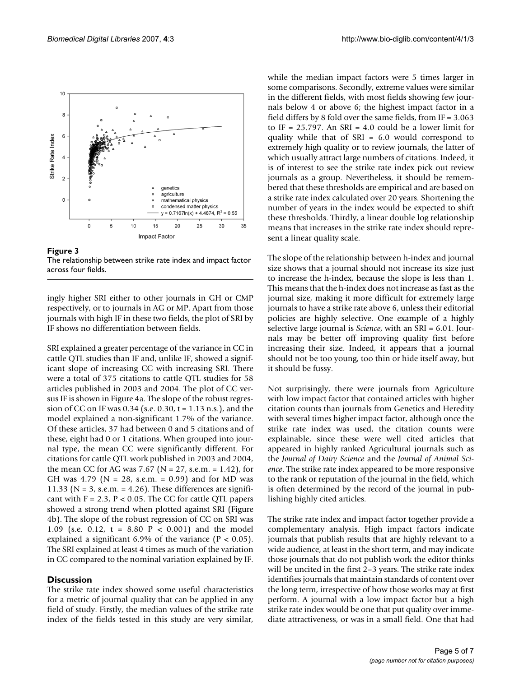

Figure 3 The relationship between strike rate index and impact factor across four fields.

ingly higher SRI either to other journals in GH or CMP respectively, or to journals in AG or MP. Apart from those journals with high IF in these two fields, the plot of SRI by IF shows no differentiation between fields.

SRI explained a greater percentage of the variance in CC in cattle QTL studies than IF and, unlike IF, showed a significant slope of increasing CC with increasing SRI. There were a total of 375 citations to cattle QTL studies for 58 articles published in 2003 and 2004. The plot of CC versus IF is shown in Figure 4a. The slope of the robust regression of CC on IF was 0.34 (s.e. 0.30, t = 1.13 n.s.), and the model explained a non-significant 1.7% of the variance. Of these articles, 37 had between 0 and 5 citations and of these, eight had 0 or 1 citations. When grouped into journal type, the mean CC were significantly different. For citations for cattle QTL work published in 2003 and 2004, the mean CC for AG was 7.67 ( $N = 27$ , s.e.m. = 1.42), for GH was 4.79 ( $N = 28$ , s.e.m. = 0.99) and for MD was 11.33 ( $N = 3$ , s.e.m. = 4.26). These differences are significant with  $F = 2.3$ ,  $P < 0.05$ . The CC for cattle QTL papers showed a strong trend when plotted against SRI (Figure 4b). The slope of the robust regression of CC on SRI was 1.09 (s.e. 0.12, t = 8.80 P < 0.001) and the model explained a significant 6.9% of the variance ( $P < 0.05$ ). The SRI explained at least 4 times as much of the variation in CC compared to the nominal variation explained by IF.

#### **Discussion**

The strike rate index showed some useful characteristics for a metric of journal quality that can be applied in any field of study. Firstly, the median values of the strike rate index of the fields tested in this study are very similar,

while the median impact factors were 5 times larger in some comparisons. Secondly, extreme values were similar in the different fields, with most fields showing few journals below 4 or above 6; the highest impact factor in a field differs by 8 fold over the same fields, from IF = 3.063 to IF =  $25.797$ . An SRI = 4.0 could be a lower limit for quality while that of SRI = 6.0 would correspond to extremely high quality or to review journals, the latter of which usually attract large numbers of citations. Indeed, it is of interest to see the strike rate index pick out review journals as a group. Nevertheless, it should be remembered that these thresholds are empirical and are based on a strike rate index calculated over 20 years. Shortening the number of years in the index would be expected to shift these thresholds. Thirdly, a linear double log relationship means that increases in the strike rate index should represent a linear quality scale.

The slope of the relationship between h-index and journal size shows that a journal should not increase its size just to increase the h-index, because the slope is less than 1. This means that the h-index does not increase as fast as the journal size, making it more difficult for extremely large journals to have a strike rate above 6, unless their editorial policies are highly selective. One example of a highly selective large journal is *Science*, with an SRI = 6.01. Journals may be better off improving quality first before increasing their size. Indeed, it appears that a journal should not be too young, too thin or hide itself away, but it should be fussy.

Not surprisingly, there were journals from Agriculture with low impact factor that contained articles with higher citation counts than journals from Genetics and Heredity with several times higher impact factor, although once the strike rate index was used, the citation counts were explainable, since these were well cited articles that appeared in highly ranked Agricultural journals such as the *Journal of Dairy Science* and the *Journal of Animal Science*. The strike rate index appeared to be more responsive to the rank or reputation of the journal in the field, which is often determined by the record of the journal in publishing highly cited articles.

The strike rate index and impact factor together provide a complementary analysis. High impact factors indicate journals that publish results that are highly relevant to a wide audience, at least in the short term, and may indicate those journals that do not publish work the editor thinks will be uncited in the first 2–3 years. The strike rate index identifies journals that maintain standards of content over the long term, irrespective of how those works may at first perform. A journal with a low impact factor but a high strike rate index would be one that put quality over immediate attractiveness, or was in a small field. One that had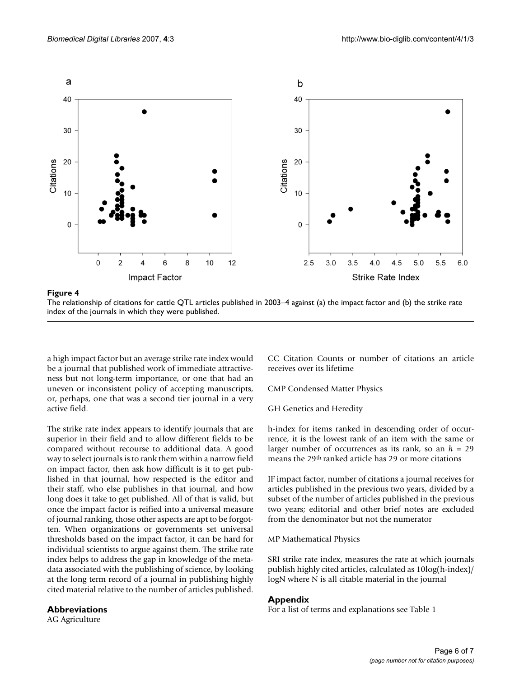

#### The relationship of citations for cattle QTL articles publis index of the journals in **Figure 4** which they were published hed in 2003–4 against (a) the impact factor and (b) the strike rate

The relationship of citations for cattle QTL articles published in 2003–4 against (a) the impact factor and (b) the strike rate index of the journals in which they were published.

a high impact factor but an average strike rate index would be a journal that published work of immediate attractiveness but not long-term importance, or one that had an uneven or inconsistent policy of accepting manuscripts, or, perhaps, one that was a second tier journal in a very active field.

The strike rate index appears to identify journals that are superior in their field and to allow different fields to be compared without recourse to additional data. A good way to select journals is to rank them within a narrow field on impact factor, then ask how difficult is it to get published in that journal, how respected is the editor and their staff, who else publishes in that journal, and how long does it take to get published. All of that is valid, but once the impact factor is reified into a universal measure of journal ranking, those other aspects are apt to be forgotten. When organizations or governments set universal thresholds based on the impact factor, it can be hard for individual scientists to argue against them. The strike rate index helps to address the gap in knowledge of the metadata associated with the publishing of science, by looking at the long term record of a journal in publishing highly cited material relative to the number of articles published.

#### **Abbreviations**

AG Agriculture

CC Citation Counts or number of citations an article receives over its lifetime

CMP Condensed Matter Physics

GH Genetics and Heredity

h-index for items ranked in descending order of occurrence, it is the lowest rank of an item with the same or larger number of occurrences as its rank, so an *h* = 29 means the 29th ranked article has 29 or more citations

IF impact factor, number of citations a journal receives for articles published in the previous two years, divided by a subset of the number of articles published in the previous two years; editorial and other brief notes are excluded from the denominator but not the numerator

MP Mathematical Physics

SRI strike rate index, measures the rate at which journals publish highly cited articles, calculated as 10log(h-index)/ logN where N is all citable material in the journal

#### **Appendix**

For a list of terms and explanations see Table 1